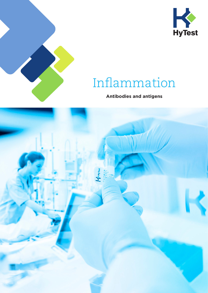



# Inflammation

## **Antibodies and antigens**

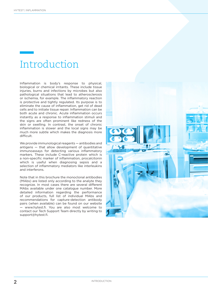# Introduction

Inflammation is body's response to physical, biological or chemical irritants. These include tissue injuries, burns and infections by microbes but also pathological situations that lead to atherosclerosis or ischemia, for example. The inflammatory reaction is protective and tightly regulated. Its purpose is to eliminate the cause of inflammation, get rid of dead cells and to initiate tissue repair. Inflammation can be both acute and chronic. Acute inflammation occurs instantly as a response to inflammation stimuli and the signs are often prominent like redness of the skin or swelling. In contrast, the onset of chronic inflammation is slower and the local signs may be much more subtle which makes the diagnosis more difficult.

We provide immunological reagents — antibodies and antigens — that allow development of quantitative immunoassays for detecting various inflammatory markers. These include C-reactive protein which is a non-specific marker of inflammation, procalcitonin which is useful when diagnosing sepsis and a selection of inflammatory mediators like interleukins and interferons.

Note that in this brochure the monoclonal antibodies (MAbs) are listed only according to the analyte they recognize. In most cases there are several different MAbs available under one catalogue number. More detailed information regarding the performance of our products, full list of individual MAbs and recommendations for capture-detection antibody pairs (when available) can be found on our website — www.hytest.fi. You are also most welcome to contact our Tech Support Team directly by writing to support@hytest.fi.

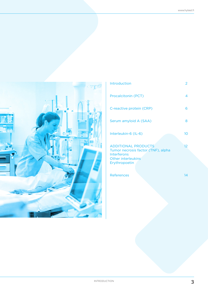

| <b>Introduction</b>                                                                                                           | 2               |
|-------------------------------------------------------------------------------------------------------------------------------|-----------------|
| Procalcitonin (PCT)                                                                                                           | 4               |
| C-reactive protein (CRP)                                                                                                      | 6               |
| Serum amyloid A (SAA)                                                                                                         | 8               |
| Interleukin-6 (IL-6)                                                                                                          | 10 <sup>°</sup> |
| <b>ADDITIONAL PRODUCTS</b><br>Tumor necrosis factor (TNF), alpha<br><b>Interferons</b><br>Other interleukins<br>Erythropoetin | 12              |
| <b>References</b>                                                                                                             | 14              |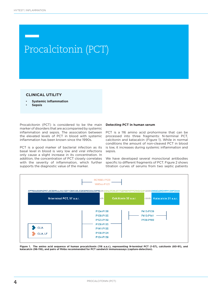# Procalcitonin (PCT)

### **CLINICAL UTILITY**

- **Systemic inflammation**
- **Sepsis**

Procalcitonin (PCT) is considered to be the main marker of disorders that are accompanied by systemic inflammation and sepsis. The association between the elevated levels of PCT in blood with systemic inflammation has been known since the 1990s.

PCT is a good marker of bacterial infection as its basal level in blood is very low and viral infections only cause a slight increase in its concentration. In addition, the concentration of PCT closely correlates with the severity of inflammation, which further supports the diagnostic value of the marker.

#### **Detecting PCT in human serum**

PCT is a 116 amino acid prohormone that can be processed into three fragments: N-terminal PCT, calcitonin and katacalcin (Figure 1). While in normal conditions the amount of non-cleaved PCT in blood is low, it increases during systemic inflammation and sepsis.

We have developed several monoclonal antibodies specific to different fragments of PCT. Figure 2 shows titration curves of serums from two septic patients



Figure 1. The amino acid sequence of human procalcitonin (116 a.a.r.), representing N-terminal PCT (1-57), calcitonin (60-91), and **katacalcin (96-116), and pairs of MAbs recommended for PCT sandwich immunoassays (capture-detection).**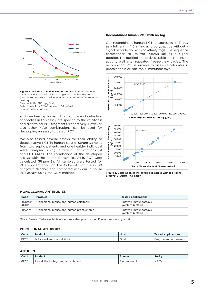

**Figure 2. Titration of human serum samples.** Serum from two patients with sepsis of bacterial origin and one healthy human (normal serum) were used as samples in a sandwich fluoroimmunoassay.

Capture MAb 16B5: 1 µg/well

Detection MAb 42 (Eu<sup>3+</sup>-labeled): 0.1 µg/well.

Incubation time: 45 min.

and one healthy human. The capture and detection antibodies in this assay are specific to the calcitonin and N-terminal PCT fragments respectively. However, also other MAb combinations can be used for developing an assay to detect PCT.

We also tested several assays for their ability to detect native PCT in human serum. Serum samples from two septic patients and one healthy individual were analyzed using different combinations of anti-PCT MAbs. The correlations of the developed assays with the Roche Elecsys BRAHMS PCT were calculated (Figure 3). All samples were tested for PCT concentration on the Cobas 411 or the 6000 analyzers (Roche) and compared with our in-house PCT assays using the CLIA method.

#### **Recombinant human PCT with no tag**

Our recombinant human PCT is expressed in *E. coli* as a full length, 116 amino acid polypeptide without a signal peptide and with no affinity tags. The sequence corresponds to UniProt P01258 lacking a signal peptide. The purified antibody is stable and retains its activity well after repeated freeze-thaw cycles. The recombinant PCT is suitable for use as a calibrator in procalcitonin or calcitonin immunoassays.





#### **MONOCLONAL ANTIBODIES**

| Cat.#                        | Product                                   | <b>Tested applications</b>              |
|------------------------------|-------------------------------------------|-----------------------------------------|
| 4C10cc*<br>4C10 <sup>*</sup> | Monoclonal mouse anti-human calcitonin    | Enzyme immunoassays<br>Western blotting |
| $4PC47*$                     | Monoclonal mouse anti-human procalcitonin | Enzyme immunoassays<br>Western blotting |

\*Note. Several MAbs available under one catalogue number. Please see www.hytest.fi.

#### **POLYCLONAL ANTIBODY**

| Cat.# | <b>Product</b>                | <b>Host</b> | <b>Tested applications</b> |
|-------|-------------------------------|-------------|----------------------------|
| PPC3  | Polyclonal anti-procalcitonin | Goat        | Enzyme immunoassays        |

#### **ANTIGEN**

| Cat.# | <b>Product</b>                       | <b>Source</b> | <b>Purity</b> |
|-------|--------------------------------------|---------------|---------------|
| 8PC5  | Procalcitonin, tag-free, recombinant | Recombinant   | 95%           |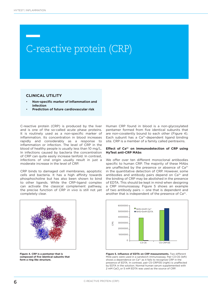# C-reactive protein (CRP) C-reactive protein (CRP)

### **CLINICAL UTILITY**

- **Non-specific marker of inflammation and infection**
- **Prediction of future cardiovascular risk**

C-reactive protein (CRP) is produced by the liver and is one of the so-called acute phase proteins. It is routinely used as a non-specific marker of inflammation. Its concentration in blood increases rapidly and considerably as a response to inflammation or infection. The level of CRP in the blood of healthy people is usually less than 10 mg/L. In infections caused by bacteria the concentration of CRP can quite easily increase tenfold. In contrast, infections of viral origin usually result in just a moderate increase in the level of CRP.

CRP binds to damaged cell membranes, apoptotic cells and bacteria. It has a high affinity towards phosphocholine but has also been shown to bind to other ligands. While the CRP-ligand complex can activate the classical complement pathway, the precise function of CRP *in vivo* is still not yet completely clear.



### **Effect of Ca2+ on immunodetection of CRP using HyTest anti-CRP MAbs**

We offer over ten different monoclonal antibodies specific to human CRP. The majority of these MAbs are unaffected by the presence or absence of Ca<sup>2+</sup> in the quantitative detection of CRP. However, some antibodies and antibody pairs depend on  $Ca<sup>2+</sup>$  and the binding of CRP may be abolished in the presence of EDTA. This should be kept in mind when designing a CRP immunoassay. Figure 5 shows an example of two antibody pairs — one that is dependent and another that is independent of the presence of  $Ca<sup>2+</sup>$ .



**Figure 4. CRP is a pentamer that is composed of five identical subunits that form a ring like structure.**



**Figure 5. Influence of EDTA on CRP measurements.** Two different MAb pairs were used in a sandwich immunoassay. Pair C3-C6 (left) shows a dependence on Ca<sup>2+</sup> as it fails to recognize CRP in the presence of EDTA. In contrast, pair C5-CRP135 (right) is unaffected by EDTA in the solution. Normal human serum supplemented with 2 mM CaCl<sub>2</sub> or 5 mM EDTA was used as the source of CRP.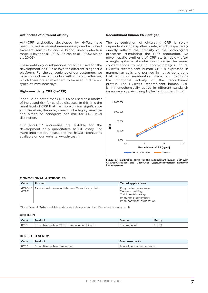#### **Antibodies of different affinity**

Anti-CRP antibodies developed by HyTest have been utilized in several immunoassays and achieved excellent sensitivity and a broad linear detection range (Meyer et al., 2007; Shiesh et al., 2006; Sin et al., 2006).

These antibody combinations could be used for the development of CRP assays for different diagnostic platforms. For the convenience of our customers, we have monoclonal antibodies with different affinities, which therefore enable them to be used in different types of immunoassays.

#### **High-sensitivity CRP (hsCRP)**

It should be noted that CRP is also used as a marker of increased risk for cardiac diseases. In this, it is the basal level of CRP that has more clinical significance and therefore, the assays need to be highly sensitive and aimed at nanogram per milliliter CRP level distinction.

Our anti-CRP antibodies are suitable for the development of a quantitative hsCRP assay. For more information, please see the hsCRP TechNotes available on our website www.hytest.fi.

#### **Recombinant human CRP antigen**

The concentration of circulating CRP is solely dependent on the synthesis rate, which respectively directly reflects the intensity of the pathological processes stimulating the CRP production. De novo hepatic synthesis of CRP starts rapidly after a single systemic stimulus which cause the serum concentrations to rise in approximately 6 hours. HyTest's recombinant human CRP is expressed in mammalian cells and purified in native conditions that excludes renaturation steps and confirms the functional activity of the recombinant protein. The HyTest's Recombinant human CRP is immunochemically active in different sandwich immunoassay pairs using HyTest antibodies, Fig. 6.



**Figure 6. Calibration curve for the recombinant human CRP with CR30cc-CRP135cc and C2cc-C4cc (capture-detection) sandwich immunoassays.**

### **MONOCLONAL ANTIBODIES**

| Cat.#              | Product                                        | <b>Tested applications</b>                                                                                             |
|--------------------|------------------------------------------------|------------------------------------------------------------------------------------------------------------------------|
| 4C28cc*<br>$4C28*$ | Monoclonal mouse anti-human C-reactive protein | Enzyme immunoassays<br>Western blotting<br>Turbidimetric assays<br>Immunohistochemistry<br>Immunoaffinity purification |

\*Note. Several MAbs available under one catalogue number. Please see www.hytest.fi.

### **ANTIGEN**

| Cat.H | <b>Product</b>                               | <b>Source</b> | <b>Purity</b> |
|-------|----------------------------------------------|---------------|---------------|
| 8CR8  | C-reactive protein (CRP), human, recombinant | Recombinant   | >95%          |

#### **DEPLETED SERUM**

| Cat.# | Product                       | <b>Source/remarks</b>     |
|-------|-------------------------------|---------------------------|
| 8CFS  | C-reactive protein free serum | Pooled normal human serum |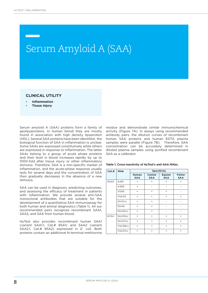# Serum Amyloid A (SAA)

## **CLINICAL UTILITY**

- **Inflammation**
- **Tissue injury**

Serum amyloid A (SAA) proteins form a family of apolipoproteins. In human blood they are mostly found in association with high density lipoprotein (HDL). Several SAA proteins have been identified , the biological function of SAA in inflammation is unclear. Some SAAs are expressed constitutively while others are expressed in response to inflammation. The latter SAAs belong to a group of acute phase proteins and their level in blood increases rapidly by up to 1000-fold after tissue injury or other inflammatory stimulus. Therefore, SAA is a non-specific marker of inflammation, and the acute-phase response usually lasts for several days and the concentration of SAA then gradually decreases in the absence of a new stimulus.

SAA can be used in diagnosis, predicting outcomes, and assessing the efficacy of treatment in patients with inflammation. We provide several anti-SAA monoclonal antibodies that are suitable for the development of a quantitative SAA immunoassay for both human and animal diagnostics (Table 1). All our recommended pairs recognize recombinant SAA1, SAA2, and SAA from human blood.

HyTest also provides recombinant human SAA1 (variant SAA1.1, Cat.# 8SA1) and SAA2 (variant SAA2.1, Cat.# 8SA2) expressed in *E. coli*. Both proteins contain an additional N-terminal methionine residue and demonstrate similar immunochemical activity (Figure 7A). In assays using recommended antibody pairs, the dilution curves of recombinant human SAA proteins and human EDTA plasma samples were parallel (Figure 7B). Therefore, SAA concentration can be accurately determined in diluted plasma samples using purified recombinant SAA as a calibrator.

| Cat.# | MAb           | <b>Specificity</b>         |                          |                             |                             |
|-------|---------------|----------------------------|--------------------------|-----------------------------|-----------------------------|
|       |               | <b>Human</b><br><b>SAA</b> | Canine<br><b>SAA</b>     | <b>Equine</b><br><b>SAA</b> | <b>Feline</b><br><b>SAA</b> |
| 4SA11 | A491          | $\ddot{}$                  | $^{+}$                   | $+$                         | $+$                         |
|       | A496          | $^{+}$                     | $\overline{\phantom{a}}$ | -                           |                             |
|       | VSA6          | $\qquad \qquad +$          | $^{+}$                   | $+$                         |                             |
|       | VSA25         | $^{+}$                     | $+$                      | $+$                         | $+$                         |
|       | <b>SAA1cc</b> | $\ddot{}$                  | $\ddot{}$                | $\overline{\phantom{0}}$    |                             |
|       | SAA6          | $^{+}$                     | $^{+}$                   | -                           | -                           |
|       | SAA15cc       | $^{+}$                     | $+$                      | -                           | $\overline{\phantom{a}}$    |
| 4VS4  | SAA19cc       | $^{+}$                     | $^{+}$                   | $+$                         | $+$                         |
|       | SAA21cc       | $+$                        | $+$                      | $+$                         | $+$                         |
|       | VSA38cc       | $^{+}$                     | $^{+}$                   | $+$                         | $+$                         |
|       | VSA31cc       | $^{+}$                     | $^{+}$                   | $\ddot{}$                   | $^{+}$                      |

#### **Table 1. Cross-reactivity of HyTest's anti-SAA MAbs.**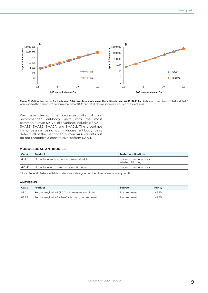

**Figure 7. Calibration curves for the human SAA prototype assay using the antibody pairs A496-SAA19cc.** A) human recombinant SAA1 and SAA2 were used as the antigens. B) human recombinant SAA1 and EDTA plasma samples were used as the antigens.

We have tested the cross-reactivity of our recommended antibody pairs with the most common human SAA allelic variants including SAA1.1, SAA1.3, SAA1.5, SAA2.1, and SAA2.2. The prototype immunoassays using our in-house antibody pairs detects all of the mentioned human SAA variants but do not recognize a constitutive isoform SAA4.

### **MONOCLONAL ANTIBODIES**

| Cat.#   | Product                                 | <b>Tested applications</b>              |
|---------|-----------------------------------------|-----------------------------------------|
| 4SA11*  | Monoclonal mouse anti-serum amyloid A   | Enzyme immunoassays<br>Western blotting |
| $4VS4*$ | Monoclonal anti-serum amyloid A, animal | Enzyme immunoassays                     |

\*Note. Several MAbs available under one catalogue number. Please see www.hytest.fi.

#### **ANTIGENS**

| Cat.# | Product                                     | Source      | Purity |
|-------|---------------------------------------------|-------------|--------|
| 8SA1  | Serum amyloid A1 (SAA1), human, recombinant | Recombinant | >95%   |
| 8SA2  | Serum amyloid A2 (SAA2), human, recombinant | Recombinant | >95%   |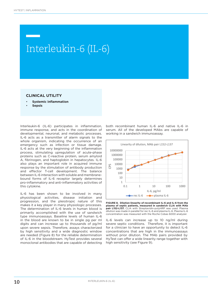# THE REACTIVE PROTECTIVE PROTECTIVE PROPERTY (THE O Interleukin-6 (IL-6)

### **CLINICAL UTILITY**

- **Systemic inflammation**
- **Sepsis**

Interleukin-6 (IL-6) participates in inflammation, immune response, and acts in the coordination of developmental, neuronal, and metabolic processes. IL-6 acts as a transmitter of alarm signals to the whole organism, indicating the occurrence of an emergency such as infection or tissue damage. IL-6 acts at the very beginning of the inflammation process, stimulating upregulation of acute-phase proteins such as C-reactive protein, serum amyloid A, fibrinogen, and haptoglobin in hepatocytes. IL-6 also plays an important role in acquired immune response by the stimulation of antibody production and effector T-cell development. The balance between IL-6 interaction with soluble and membranebound forms of IL-6 receptor largely determines pro-inflammatory and anti-inflammatory activities of this cytokine.

IL-6 has been shown to be involved in many physiological activities, disease initiation and progression, and the pleiotropic nature of this makes it a key player in many physiologic processes. The determination of IL-6 levels in human blood is primarily accomplished with the use of sandwich type immunoassays. Baseline levels of human IL-6 in the blood are known to be in single pg per ml digits and can increase up to thousands of pg/ml upon severe sepsis. Therefore, assays characterized by high sensitivity and a wide diagnostic window are needed (Figure 8) for the reliable determination of IL-6 in the bloodstream. HyTest provides several monoclonal antibodies that are capable of detecting

both recombinant human IL-6 and native IL-6 in serum. All of the developed MAbs are capable of working in a sandwich immunoassay.



**FIGURE 8. Dilution linearity of recombinant IL-6 and IL-6 from the plasma of septic patients, measured in sandwich CLIA with MAb pair L152-L137.** CLIA with Streptavidin-polyHRP was used. Plasma dilution was made in parallel for rec IL-6 and plasma IL-6. Plasma IL-6 concentration was measured with the Roche Cobas 6000 analyzer.

IL-6 levels can increase up to 10 ng/ml during severe septic conditions. Therefore, it is important for a clinician to have an opportunity to detect IL-6 concentrations that are high in the immunoassays without prior dilution. The MAb pairs provided by HyTest can offer a wide linearity range together with high sensitivity (see Figure 9).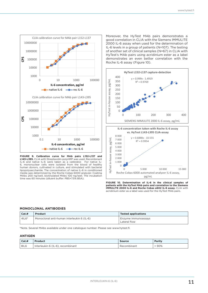

**FIGURE 9. Calibration curve for MAb pairs L152-L137 and L143-L395.** CLIA with Streptavidin-polyHRP was used. Recombinant IL-6 and native IL-6 were taken as a calibrator. For native IL-6, mononuclear cells were isolated from the blood of healthy human donors, cultivated in culture, and stimulated with bacterial lipopolysaccharide. The concentration of native IL-6 in conditioned media was determined by the Roche Cobas 6000 analyzer. Coating MAbs 200 ng/well, biotinylated MAbs 100 ng/well. The incubation time was 60 minutes (diluent buffer: PBS+7.5% BSA).

Moreover, the HyTest MAb pairs demonstrates a good correlation in CLIA with the Siemens IMMULITE 2000 IL-6 assay when used for the determination of IL-6 levels in a group of patients (N=107). The testing of another set of clinical samples (N=67) in CLIA with HyTest's MAb pairs using acridinium ester as a label demonstrates an even better correlation with the Roche IL-6 assay (Figure 10).



**FIGURE 10. Determination of IL-6 in the clinical samples of patients with the HyTest MAb pairs and correlation to the Siemens IMMULITE 2000 IL-6 and Roche Cobas e602 IL-6 assay.** CLIA with acridinium ester as a label was used for the HyTest MAb pairs.

#### **MONOCLONAL ANTIBODIES**

| Cat.#   | Product                                    | <b>Tested applications</b>          |
|---------|--------------------------------------------|-------------------------------------|
| $4IL6*$ | Monoclonal anti-human interleukin 6 (IL-6) | Enzyme immunoassays<br>Lateral flow |

\*Note. Several MAbs available under one catalogue number. Please see www.hytest.fi.

### **ANTIGEN**

| Cat.H | <b>Product</b>                    | <b>Source</b> | <b>Purity</b> |
|-------|-----------------------------------|---------------|---------------|
| 8IL6  | Interleukin 6 (IL-6), recombinant | Recombinant   | $.90\%$       |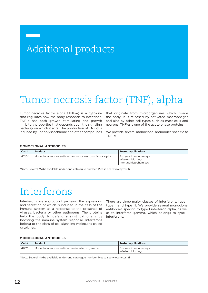# Additional products

# Tumor necrosis factor (TNF), alpha

Tumor necrosis factor alpha (TNF-α) is a cytokine that regulates how the body responds to infections. TNF-α has both growth stimulating and growth inhibitory properties that depends upon the signaling pathway on which it acts. The production of TNF-α is induced by lipopolysaccharide and other compounds that originate from microorganisms which invade the body. It is released by activated macrophages and also by other cell types such as mast cells and neurons. TNF-α is one of the acute phase proteins.

We provide several monoclonal antibodies specific to TNF-α.

### **MONOCLONAL ANTIBODIES**

| Cat.#   | <b>Product</b>                                          | <b>Tested applications</b>                                      |
|---------|---------------------------------------------------------|-----------------------------------------------------------------|
| $4T10*$ | Monoclonal mouse anti-human tumor necrosis factor alpha | Enzyme immunoassays<br>Western blotting<br>Immunohistochemistry |

\*Note. Several MAbs available under one catalogue number. Please see www.hytest.fi.

# Interferons

Interferons are a group of proteins, the expression and secretion of which is induced in the cells of the immune system as a response to the presence of viruses, bacteria or other pathogens. The proteins help the body to defend against pathogens by boosting the immune system response. Interferons belong to the class of cell signaling molecules called cytokines.

There are three major classes of interferons: type I, type II and type III. We provide several monoclonal antibodies specific to type I interferon alpha, as well as to interferon gamma, which belongs to type II interferons.

### **MONOCLONAL ANTIBODIES**

| Cat.#   | <b>Product</b>                               | <b>Tested applications</b>              |
|---------|----------------------------------------------|-----------------------------------------|
| $4122*$ | Monoclonal mouse anti-human interferon gamma | Enzyme immunoassays<br>Western blotting |

\*Note. Several MAbs available under one catalogue number. Please see www.hytest.fi.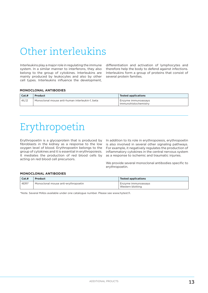# Other interleukins

Interleukins play a major role in regulating the immune system. In a similar manner to interferons, they also belong to the group of cytokines. Interleukins are mainly produced by leukocytes and also by other cell types. Interleukins influence the development,

differentiation and activation of lymphocytes and therefore help the body to defend against infections. Interleukins form a group of proteins that consist of several protein families.

### **MONOCLONAL ANTIBODIES**

| Cat.# | <b>Product</b>                                  | <b>Tested applications</b>                    |
|-------|-------------------------------------------------|-----------------------------------------------|
| 41L12 | Monoclonal mouse anti-human interleukin-1, beta | I Enzyme immunoassays<br>Immunohistochemistry |

# Erythropoetin

Erythropoetin is a glycoprotein that is produced by fibroblasts in the kidney as a response to the low oxygen level of blood. Erythropoetin belongs to the group of cytokines and it is essential in erythropoiesis. It mediates the production of red blood cells by acting on red blood cell precursors.

In addition to its role in erythropoiesis, erythropoetin is also involved in several other signaling pathways. For example, it negatively regulates the production of inflammatory cytokines in the central nervous system as a response to ischemic and traumatic injuries.

We provide several monoclonal antibodies specific to erythropoetin.

## **MONOCLONAL ANTIBODIES**

| Cat.#   | Product                             | <b>Tested applications</b>              |
|---------|-------------------------------------|-----------------------------------------|
| $4ER1*$ | Monoclonal mouse anti-erythropoetin | Enzyme immunoassays<br>Western blotting |

\*Note. Several MAbs available under one catalogue number. Please see www.hytest.fi.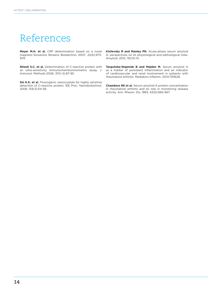# References

**Meyer M.H. et al.** CRP determination based on a novel magnetic biosensor. Biosens. Bioelectron. 2007, 22(6):973- 979.

**Shiesh S.C. et al.** Determination of C-reactive protein with an ultra-sensitivity immunochemiluminometric assay. J. Immunol. Methods 2006, 311(1-2):87-95.

**Sin K.K. et al.** Fluorogenic nanocrystals for highly sensitive detection of C-reactive protein. IEE Proc. Nanobiotechnol. 2006, 153(3):54-58.

**Kisilevsky R and Manley PN**. Acute-phase serum amyloid A: perspectives on its physiological and pathological roles. Amyloid. 2012, 19(1)5-14.

**Targońska-Stępniak B and Majdan M.** Serum amyloid A as a marker of persistent inflammation and an indicator of cardiovascular and renal involvement in patients with rheumatoid arthritis. Mediators Inflamm. 2014:793628.

**Chambers RE et al.** Serum amyloid-A protein concentration in rheumatoid arthritis and its role in monitoring disease activity. Ann. Rheum. Dis. 1983, 42(6):665-667.